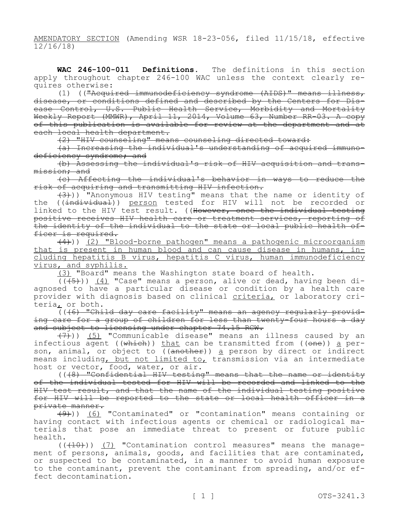AMENDATORY SECTION (Amending WSR 18-23-056, filed 11/15/18, effective 12/16/18)

**WAC 246-100-011 Definitions.** The definitions in this section apply throughout chapter 246-100 WAC unless the context clearly requires otherwise:

(1) (("Acquired immunodeficiency syndrome (AIDS)" means illness, disease, or conditions defined and described by the Centers for Disease Control, U.S. Public Health Service, Morbidity and Mortality Weekly Report (MMWR), April 11, 2014, Volume 63, Number RR-03. A copy of this publication is available for review at the department and at each local health department.

(2) "HIV counseling" means counseling directed toward:

(a) Increasing the individual's understanding of acquired immunodeficiency syndrome; and

(b) Assessing the individual's risk of HIV acquisition and transmission; and

(c) Affecting the individual's behavior in ways to reduce the risk of acquiring and transmitting HIV infection.

(3))) "Anonymous HIV testing" means that the name or identity of the ((<del>individual</del>)) <u>person</u> tested for HIV will not be recorded or linked to the HIV test result. ((However, once the individual testing positive receives HIV health care or treatment services, reporting of the identity of the individual to the state or local public health officer is required.

 $(4)$ )) (2) "Blood-borne pathogen" means a pathogenic microorganism that is present in human blood and can cause disease in humans, including hepatitis B virus, hepatitis C virus, human immunodeficiency virus, and syphilis.

(3) "Board" means the Washington state board of health.

 $((+5))$   $(4)$  "Case" means a person, alive or dead, having been diagnosed to have a particular disease or condition by a health care provider with diagnosis based on clinical criteria, or laboratory criteria, or both.

(((6) "Child day care facility" means an agency regularly providing care for a group of children for less than twenty-four hours a day and subject to licensing under chapter 74.15 RCW.

(7))) (5) "Communicable disease" means an illness caused by an infectious agent ((<del>which</del>)) <u>that</u> can be transmitted from ((<del>one</del>)) <u>a</u> person, animal, or object to ((<del>another</del>)) <u>a</u> person by direct or indirect means including, but not limited to, transmission via an intermediate host or vector, food, water, or air.

(((8) "Confidential HIV testing" means that the name or identity of the individual tested for HIV will be recorded and linked to the HIV test result, and that the name of the individual testing positive for HIV will be reported to the state or local health officer in a private manner.

(9))) (6) "Contaminated" or "contamination" means containing or having contact with infectious agents or chemical or radiological materials that pose an immediate threat to present or future public health.

 $((+10))$   $(7)$  "Contamination control measures" means the management of persons, animals, goods, and facilities that are contaminated, or suspected to be contaminated, in a manner to avoid human exposure to the contaminant, prevent the contaminant from spreading, and/or effect decontamination.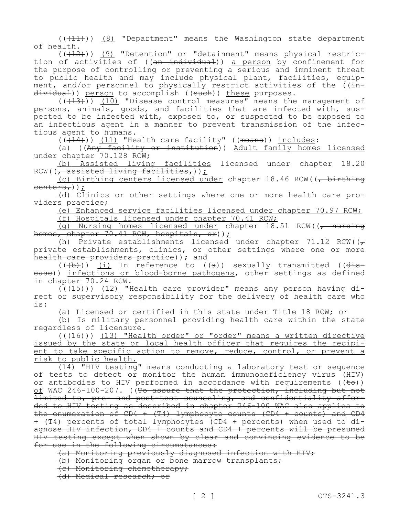$((+11))$  (8) "Department" means the Washington state department of health.

 $((+12))$  (9) "Detention" or "detainment" means physical restriction of activities of ((an individual)) a person by confinement for the purpose of controlling or preventing a serious and imminent threat to public health and may include physical plant, facilities, equipment, and/or personnel to physically restrict activities of the  $(1 + -1)$ dividual)) person to accomplish ((such)) these purposes.

 $((+13))$  (10) "Disease control measures" means the management of persons, animals, goods, and facilities that are infected with, suspected to be infected with, exposed to, or suspected to be exposed to an infectious agent in a manner to prevent transmission of the infectious agent to humans.

(((14))) (11) "Health care facility" ((means)) includes:

(a) ((Any facility or institution)) Adult family homes licensed under chapter 70.128 RCW;

(b) Assisted living facilities licensed under chapter 18.20  $RCW$ ((, assisted living facilities,));

(c) Birthing centers licensed under chapter 18.46 RCW((, birthing centers,));

(d) Clinics or other settings where one or more health care providers practice;

(e) Enhanced service facilities licensed under chapter 70.97 RCW;

(f) Hospitals licensed under chapter 70.41 RCW;

(g) Nursing homes licensed under chapter 18.51 RCW((, nursing homes, chapter 70.41 RCW, hospitals, or));

(h) Private establishments licensed under chapter 71.12 RCW( $(\tau$ private establishments, clinics, or other settings where one or more health care providers practice) ) ; and

 $((+b))$  (i) In reference to  $((a))$  sexually transmitted (( $di$ sease)) infections or blood-borne pathogens, other settings as defined in chapter 70.24 RCW.

 $((+15))$  (12) "Health care provider" means any person having direct or supervisory responsibility for the delivery of health care who is:

(a) Licensed or certified in this state under Title 18 RCW; or

(b) Is military personnel providing health care within the state regardless of licensure.

(((16))) (13) "Health order" or "order" means a written directive issued by the state or local health officer that requires the recipient to take specific action to remove, reduce, control, or prevent a risk to public health.

(14) "HIV testing" means conducting a laboratory test or sequence of tests to detect <u>or monitor</u> the human immunodeficiency virus (HIV) or antibodies to HIV performed in accordance with requirements ((<del>to</del>)) of WAC 246-100-207. ((To assure that the protection, including but not limited to, pre- and post-test counseling, and confidentiality afforded to HIV testing as described in chapter 246-100 WAC also applies to the enumeration of  $CD4 + (T4)$  lymphocyte counts  $(CD4 + \text{counts})$  and  $CD4$ + (T4) percents of total lymphocytes (CD4 + percents) when used to diagnose  $HIV$  infection, CD4 + counts and CD4 + percents will be presumed HIV testing except when shown by clear and convincing evidence to be for use in the following circumstances:

(a) Monitoring previously diagnosed infection with HIV;

(b) Monitoring organ or bone marrow transplants;

(c) Monitoring chemotherapy;

(d) Medical research; or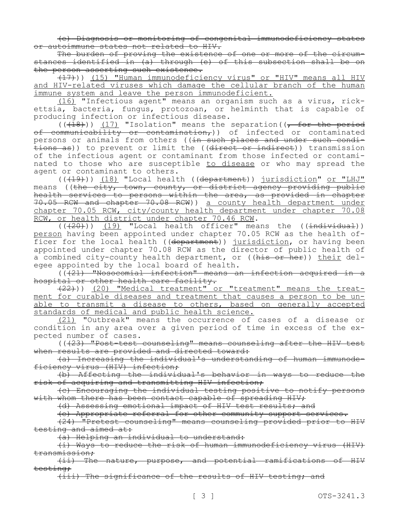(e) Diagnosis or monitoring of congenital immunodeficiency states or autoimmune states not related to HIV.

The burden of proving the existence of one or more of the circumstances identified in (a) through (e) of this subsection shall be on the person asserting such existence.

(17))) (15) "Human immunodeficiency virus" or "HIV" means all HIV and HIV-related viruses which damage the cellular branch of the human immune system and leave the person immunodeficient.

(16) "Infectious agent" means an organism such as a virus, rickettsia, bacteria, fungus, protozoan, or helminth that is capable of producing infection or infectious disease.

 $((+18))$   $(17)$  "Isolation" means the separation( $(-$  for the period of communicability or contamination,)) of infected or contaminated persons or animals from others ((in such places and under such conditions as)) to prevent or limit the ((direct or indirect)) transmission of the infectious agent or contaminant from those infected or contaminated to those who are susceptible to disease or who may spread the agent or contaminant to others.

(((19))) (18) "Local health ((department)) jurisdiction" or "LHJ" means ((the city, town, county, or district agency providing public health services to persons within the area, as provided in chapter 70.05 RCW and chapter 70.08 RCW)) a county health department under chapter 70.05 RCW, city/county health department under chapter 70.08 RCW, or health district under chapter 70.46 RCW.

 $((+20))$  (19) "Local health officer" means the ((individual)) person having been appointed under chapter 70.05 RCW as the health officer for the local health ((department)) jurisdiction, or having been appointed under chapter 70.08 RCW as the director of public health of a combined city-county health department, or ((his or her)) their delegee appointed by the local board of health.

 $(\sqrt{121})$  "Nosocomial infection" means an infection acquired in a hospital or other health care facility.

(22))) (20) "Medical treatment" or "treatment" means the treatment for curable diseases and treatment that causes a person to be unable to transmit a disease to others, based on generally accepted standards of medical and public health science.

(21) "Outbreak" means the occurrence of cases of a disease or condition in any area over a given period of time in excess of the expected number of cases.

(((23) "Post-test counseling" means counseling after the HIV test when results are provided and directed toward:

(a) Increasing the individual's understanding of human immunodeficiency virus (HIV) infection;

(b) Affecting the individual's behavior in ways to reduce the risk of acquiring and transmitting HIV infection;

(c) Encouraging the individual testing positive to notify persons with whom there has been contact capable of spreading HIV;

(d) Assessing emotional impact of HIV test results; and

(e) Appropriate referral for other community support services.

(24) "Pretest counseling" means counseling provided prior to HIV testing and aimed at:

(a) Helping an individual to understand:

(i) Ways to reduce the risk of human immunodeficiency virus (HIV) transmission;

(ii) The nature, purpose, and potential ramifications of HIV testing;

(iii) The significance of the results of HIV testing; and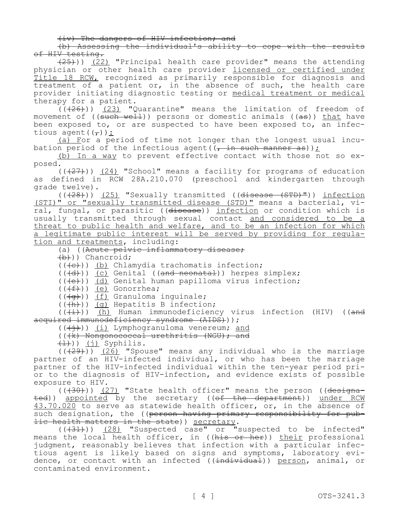(iv) The dangers of HIV infection; and

(b) Assessing the individual's ability to cope with the results of HIV testing.

 $(25)$ )) (22) "Principal health care provider" means the attending physician or other health care provider licensed or certified under Title 18 RCW, recognized as primarily responsible for diagnosis and treatment of a patient or, in the absence of such, the health care provider initiating diagnostic testing or medical treatment or medical therapy for a patient.

 $((+26))$   $(23)$  "Quarantine" means the limitation of freedom of movement of ((such well)) persons or domestic animals ((as)) that have been exposed to, or are suspected to have been exposed to, an infectious agent  $((\tau))$ :

(a) For a period of time not longer than the longest usual incubation period of the infectious agent ( $(-$  in such manner as));

(b) In a way to prevent effective contact with those not so exposed.

 $((+27))$   $(24)$  "School" means a facility for programs of education as defined in RCW 28A.210.070 (preschool and kindergarten through grade twelve).

 $((+28))$  (25) "Sexually transmitted ( $(\overline{d}\cdot \overline{b})$  ( $(\overline{S}$ TD)")) infection (STI)" or "sexually transmitted disease (STD)" means a bacterial, viral, fungal, or parasitic ((disease)) infection or condition which is usually transmitted through sexual contact and considered to be a threat to public health and welfare, and to be an infection for which a legitimate public interest will be served by providing for regulation and treatments, including:

(a) ((Acute pelvic inflammatory disease;

 $(b)$ ) Chancroid;

 $((+e))$  (b) Chlamydia trachomatis infection;

 $((\overline{d}))$  (c) Genital ((and neonatal)) herpes simplex;

(((e)) (d) Genital human papilloma virus infection;

 $((\text{f}))( \text{e})$  Gonorrhea;

(((g))) (f) Granuloma inguinale;

 $((+h))$  (g) Hepatitis B infection;

 $((+\frac{i}{i}))$  (h) Human immunodeficiency virus infection (HIV) ((and acquired immunodeficiency syndrome (AIDS)) ;

 $((+\dagger))$  (i) Lymphogranuloma venereum; and

 $((+k)$  Nongonococcal urethritis  $(NGU)$ ; and

 $(\pm)$ )) (j) Syphilis.

 $((+29))$   $(26)$  "Spouse" means any individual who is the marriage partner of an HIV-infected individual, or who has been the marriage partner of the HIV-infected individual within the ten-year period prior to the diagnosis of HIV-infection, and evidence exists of possible exposure to HIV.

 $((+30))$  (27) "State health officer" means the person (( $d$ esignated)) appointed by the secretary ((of the department)) under RCW 43.70.020 to serve as statewide health officer, or, in the absence of such designation, the ((person having primary responsibility for public health matters in the state)) secretary.

 $((+31))$   $(28)$  "Suspected case" or "suspected to be infected" means the local health officer, in ((his or her)) their professional judgment, reasonably believes that infection with a particular infectious agent is likely based on signs and symptoms, laboratory evidence, or contact with an infected ((individual)) person, animal, or contaminated environment.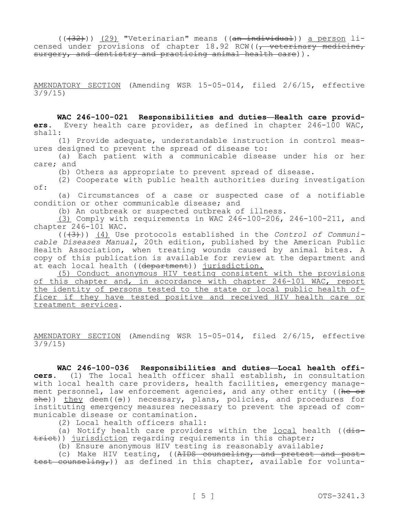((<del>(32)</del>)) (29) "Veterinarian" means ((an individual)) a person licensed under provisions of chapter 18.92 RCW((<del>, veterinary medicine,</del> surgery, and dentistry and practicing animal health care)).

AMENDATORY SECTION (Amending WSR 15-05-014, filed 2/6/15, effective 3/9/15)

**WAC 246-100-021 Responsibilities and duties—Health care providers.** Every health care provider, as defined in chapter 246-100 WAC, shall:

(1) Provide adequate, understandable instruction in control measures designed to prevent the spread of disease to:

(a) Each patient with a communicable disease under his or her care; and

(b) Others as appropriate to prevent spread of disease.

(2) Cooperate with public health authorities during investigation of:

(a) Circumstances of a case or suspected case of a notifiable condition or other communicable disease; and

(b) An outbreak or suspected outbreak of illness.

(3) Comply with requirements in WAC 246-100-206, 246-100-211, and chapter 246-101 WAC.

(((3))) (4) Use protocols established in the *Control of Communicable Diseases Manual*, 20th edition, published by the American Public Health Association, when treating wounds caused by animal bites. A copy of this publication is available for review at the department and at each local health ((department)) jurisdiction.

(5) Conduct anonymous HIV testing consistent with the provisions of this chapter and, in accordance with chapter 246-101 WAC, report the identity of persons tested to the state or local public health officer if they have tested positive and received HIV health care or treatment services.

AMENDATORY SECTION (Amending WSR 15-05-014, filed 2/6/15, effective 3/9/15)

**WAC 246-100-036 Responsibilities and duties—Local health officers.** (1) The local health officer shall establish, in consultation with local health care providers, health facilities, emergency management personnel, law enforcement agencies, and any other entity ((he or she)) they deem((s)) necessary, plans, policies, and procedures for instituting emergency measures necessary to prevent the spread of communicable disease or contamination.

(2) Local health officers shall:

(a) Notify health care providers within the local health ((dis $t$  trict)) jurisdiction regarding requirements in this chapter;

(b) Ensure anonymous HIV testing is reasonably available;

(c) Make HIV testing, ((AIDS counseling, and pretest and posttest counseling,)) as defined in this chapter, available for volunta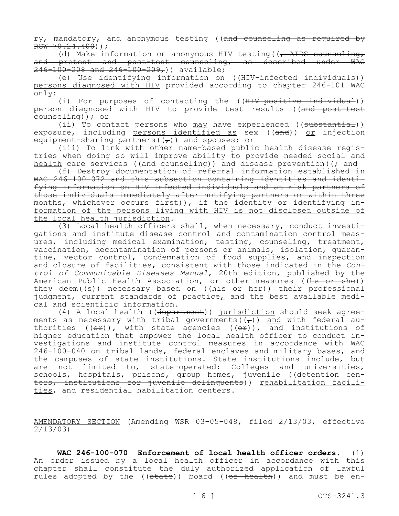ry, mandatory, and anonymous testing ((and counseling as required by  $RCW$  70.24.400));

(d) Make information on anonymous HIV testing( $\sqrt{A\text{HDS}}$  counseling, and pretest and post-test counseling, as described under WAC  $246 - 100 - 208$  and  $246 - 100 - 209$ , available;

(e) Use identifying information on ((HIV-infected individuals)) persons diagnosed with HIV provided according to chapter 246-101 WAC only:

(i) For purposes of contacting the ((HIV-positive individual)) person diagnosed with HIV to provide test results ((and post-test counseling)); or

(ii) To contact persons who may have experienced ((substantial)) exposure, including persons identified as sex ((and)) or injection equipment-sharing partners( $(\tau)$ ) and spouses; or

(iii) To link with other name-based public health disease registries when doing so will improve ability to provide needed social and health care services ((and counseling)) and disease prevention( $\rightarrow$  and

(f) Destroy documentation of referral information established in WAC 246-100-072 and this subsection containing identities and identifying information on HIV-infected individuals and at-risk partners of those individuals immediately after notifying partners or within three months, whichever occurs first)), if the identity or identifying information of the persons living with HIV is not disclosed outside of the local health jurisdiction.

(3) Local health officers shall, when necessary, conduct investigations and institute disease control and contamination control measures, including medical examination, testing, counseling, treatment, vaccination, decontamination of persons or animals, isolation, quarantine, vector control, condemnation of food supplies, and inspection and closure of facilities, consistent with those indicated in the *Control of Communicable Diseases Manual*, 20th edition, published by the American Public Health Association, or other measures ((he or she)) they deem((s)) necessary based on ((his or her)) their professional judgment, current standards of practice, and the best available medical and scientific information.

(4) A local health ((department)) jurisdiction should seek agreements as necessary with tribal governments( $(\tau)$ ) and with federal authorities  $((\theta \hat{r}))_L$  with state agencies  $((\theta \hat{r}))_L$  and institutions of higher education that empower the local health officer to conduct investigations and institute control measures in accordance with WAC 246-100-040 on tribal lands, federal enclaves and military bases, and the campuses of state institutions. State institutions include, but are not limited to, state-operated: Colleges and universities, schools, hospitals, prisons, group homes, juvenile ((detention centers, institutions for juvenile delinquents)) rehabilitation facilities, and residential habilitation centers.

AMENDATORY SECTION (Amending WSR 03-05-048, filed 2/13/03, effective 2/13/03)

**WAC 246-100-070 Enforcement of local health officer orders.** (1) An order issued by a local health officer in accordance with this chapter shall constitute the duly authorized application of lawful rules adopted by the  $((\text{state}))$  board  $((\text{of}$  health)) and must be en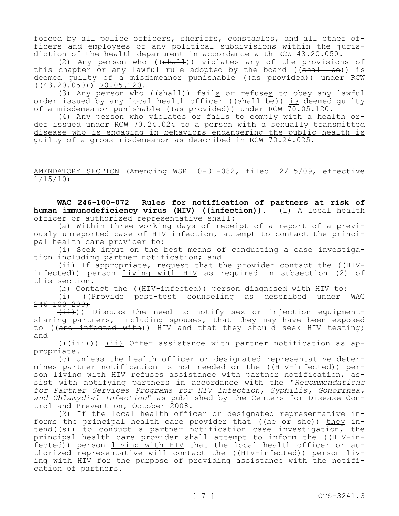forced by all police officers, sheriffs, constables, and all other officers and employees of any political subdivisions within the jurisdiction of the health department in accordance with RCW 43.20.050.

(2) Any person who  $((shath)$  violates any of the provisions of this chapter or any lawful rule adopted by the board ( $(\text{shall }$  be)) is deemed quilty of a misdemeanor punishable ((as provided)) under RCW  $((43.20.050)$  70.05.120.

(3) Any person who  $((shall))$  fails or refuses to obey any lawful order issued by any local health officer ((shall be)) is deemed quilty of a misdemeanor punishable ((as provided)) under RCW 70.05.120.

(4) Any person who violates or fails to comply with a health order issued under RCW 70.24.024 to a person with a sexually transmitted disease who is engaging in behaviors endangering the public health is guilty of a gross misdemeanor as described in RCW 70.24.025.

AMENDATORY SECTION (Amending WSR 10-01-082, filed 12/15/09, effective 1/15/10)

**WAC 246-100-072 Rules for notification of partners at risk of human immunodeficiency virus (HIV) ((infection)).** (1) A local health officer or authorized representative shall:

(a) Within three working days of receipt of a report of a previously unreported case of HIV infection, attempt to contact the principal health care provider to:

(i) Seek input on the best means of conducting a case investigation including partner notification; and

(ii) If appropriate, request that the provider contact the ((HIVinfected)) person living with HIV as required in subsection (2) of this section.

(b) Contact the ((HIV-infected)) person diagnosed with HIV to:

(i) ((Provide post-test counseling as described under WAC  $246 - 100 - 209$ 

 $(i)$ )) Discuss the need to notify sex or injection equipmentsharing partners, including spouses, that they may have been exposed to ((and infected with)) HIV and that they should seek HIV testing; and

 $((+i+i))$  (ii) Offer assistance with partner notification as appropriate.

(c) Unless the health officer or designated representative determines partner notification is not needed or the ((HIV-infected)) person living with HIV refuses assistance with partner notification, assist with notifying partners in accordance with the "*Recommendations for Partner Services Programs for HIV Infection, Syphilis, Gonorrhea, and Chlamydial Infection*" as published by the Centers for Disease Control and Prevention, October 2008.

(2) If the local health officer or designated representative informs the principal health care provider that  $((he - or - she))$  they intend((s)) to conduct a partner notification case investigation, the principal health care provider shall attempt to inform the ((HIV-infected)) person living with HIV that the local health officer or authorized representative will contact the ((HIV-infected)) person living with HIV for the purpose of providing assistance with the notification of partners.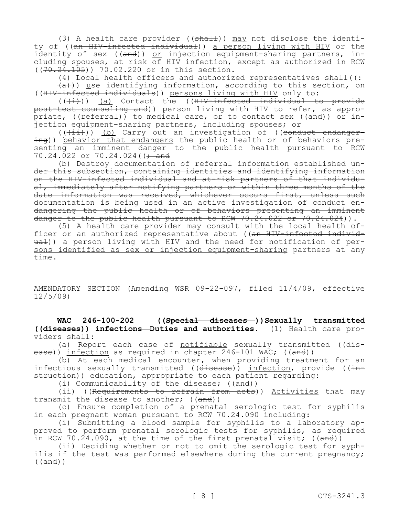(3) A health care provider  $((shath))$  may not disclose the identity of ((an HIV-infected individual)) a person living with HIV or the identity of sex ((and)) or injection equipment-sharing partners, including spouses, at risk of HIV infection, except as authorized in RCW  $((70.24.105))$  70.02.220 or in this section.

(4) Local health officers and authorized representatives shall  $($ .  $(a+)$ ) use identifying information, according to this section, on ((HIV-infected individuals)) persons living with HIV only to:

 $((+\pm))$  (a) Contact the ((HIV-infected individual to provide post-test counseling and)) person living with HIV to refer, as appropriate, (( $f$ eferral)) to medical care, or to contact sex (( $\frac{1}{(and)}$ ) or injection equipment-sharing partners, including spouses; or

 $((+\pm\pm))$  (b) Carry out an investigation of ((conduct endangering)) behavior that endangers the public health or of behaviors presenting an imminent danger to the public health pursuant to RCW 70.24.022 or 70.24.024((<del>; and</del>

(b) Destroy documentation of referral information established under this subsection, containing identities and identifying information on the HIV-infected individual and at-risk partners of that individual, immediately after notifying partners or within three months of the date information was received, whichever occurs first, unless such documentation is being used in an active investigation of conduct endangering the public health or of behaviors presenting an imminent danger to the public health pursuant to RCW 70.24.022 or 70.24.024)).

(5) A health care provider may consult with the local health officer or an authorized representative about ((an HIV-infected individual)) a person living with HIV and the need for notification of persons identified as sex or injection equipment-sharing partners at any time.

AMENDATORY SECTION (Amending WSR 09-22-097, filed 11/4/09, effective 12/5/09)

WAC 246-100-202 ((Special diseases ))Sexually transmitted **((diseases)) infections—Duties and authorities.** (1) Health care providers shall:

(a) Report each case of notifiable sexually transmitted ((disease)) infection as required in chapter 246-101 WAC; ((and))

(b) At each medical encounter, when providing treatment for an infectious sexually transmitted ((<del>disease</del>)) <u>infection</u>, provide ((<del>in-</del> struction)) education, appropriate to each patient regarding:

(i) Communicability of the disease; ((and))

(ii) ((Requirements to refrain from acts)) Activities that may transmit the disease to another; ((and))

(c) Ensure completion of a prenatal serologic test for syphilis in each pregnant woman pursuant to RCW 70.24.090 including:

(i) Submitting a blood sample for syphilis to a laboratory approved to perform prenatal serologic tests for syphilis, as required in RCW 70.24.090, at the time of the first prenatal visit;  $((and))$ 

(ii) Deciding whether or not to omit the serologic test for syphilis if the test was performed elsewhere during the current pregnancy; ((and))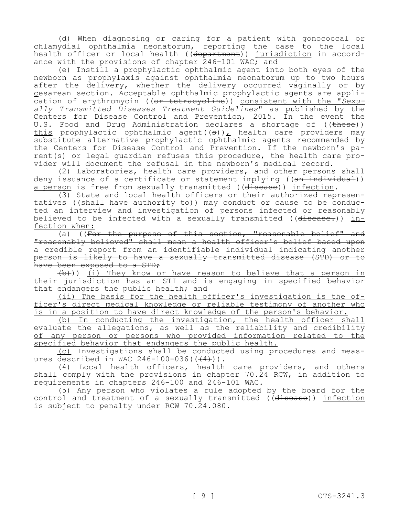(d) When diagnosing or caring for a patient with gonococcal or chlamydial ophthalmia neonatorum, reporting the case to the local health officer or local health ((<del>department</del>)) <u>jurisdiction</u> in accordance with the provisions of chapter 246-101 WAC; and

(e) Instill a prophylactic ophthalmic agent into both eyes of the newborn as prophylaxis against ophthalmia neonatorum up to two hours after the delivery, whether the delivery occurred vaginally or by cesarean section. Acceptable ophthalmic prophylactic agents are application of erythromycin ((or tetracycline)) consistent with the "*Sexually Transmitted Diseases Treatment Guidelines*" as published by the Centers for Disease Control and Prevention, 2015. In the event the U.S. Food and Drug Administration declares a shortage of ((these)) this prophylactic ophthalmic agent( $(\theta)$ ), health care providers may substitute alternative prophylactic ophthalmic agents recommended by the Centers for Disease Control and Prevention. If the newborn's parent(s) or legal guardian refuses this procedure, the health care provider will document the refusal in the newborn's medical record.

(2) Laboratories, health care providers, and other persons shall deny issuance of a certificate or statement implying ((an individual)) a person is free from sexually transmitted ((disease)) infection.

(3) State and local health officers or their authorized representatives ((shall have authority to)) may conduct or cause to be conducted an interview and investigation of persons infected or reasonably believed to be infected with a sexually transmitted ((disease.)) infection when:

(a) ((For the purpose of this section, "reasonable belief" and "reasonably believed" shall mean a health officer's belief based upon a credible report from an identifiable individual indicating another person is likely to have a sexually transmitted disease (STD) or to have been exposed to a STD;

 $(\pm)$ )) (i) They know or have reason to believe that a person in their jurisdiction has an STI and is engaging in specified behavior that endangers the public health; and

(ii) The basis for the health officer's investigation is the officer's direct medical knowledge or reliable testimony of another who is in a position to have direct knowledge of the person's behavior.

(b) In conducting the investigation, the health officer shall evaluate the allegations, as well as the reliability and credibility of any person or persons who provided information related to the specified behavior that endangers the public health.

(c) Investigations shall be conducted using procedures and measures described in WAC 246-100-036( $(44)$ )).

(4) Local health officers, health care providers, and others shall comply with the provisions in chapter 70.24 RCW, in addition to requirements in chapters 246-100 and 246-101 WAC.

(5) Any person who violates a rule adopted by the board for the control and treatment of a sexually transmitted ((disease)) infection is subject to penalty under RCW 70.24.080.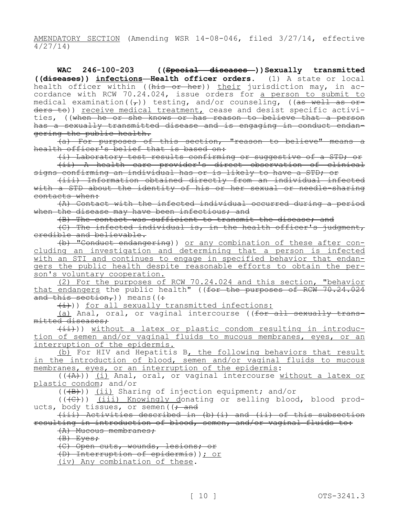AMENDATORY SECTION (Amending WSR 14-08-046, filed 3/27/14, effective 4/27/14)

WAC 246-100-203 ((Special diseases ))Sexually transmitted **((diseases)) infections—Health officer orders.** (1) A state or local health officer within ((his or her)) their jurisdiction may, in accordance with RCW 70.24.024, issue orders for a person to submit to medical examination(( $_{\mathcal{T}}$ )) testing, and/or counseling, ((<del>as well as or-</del> de<del>rs to</del>)) <u>receive medical treatment,</u> cease and desist specific activities, ((when he or she knows or has reason to believe that a person has a sexually transmitted disease and is engaging in conduct endangering the public health.

(a) For purposes of this section, "reason to believe" means a health officer's belief that is based on:

(i) Laboratory test results confirming or suggestive of a STD; or

(ii) A health care provider's direct observation of clinical signs confirming an individual has or is likely to have a STD; or

(iii) Information obtained directly from an individual infected with a STD about the identity of his or her sexual or needle-sharing contacts when:

(A) Contact with the infected individual occurred during a period when the disease may have been infectious; and

(B) The contact was sufficient to transmit the disease; and

(C) The infected individual is, in the health officer's judgment, credible and believable.

(b) "Conduct endangering)) or any combination of these after concluding an investigation and determining that a person is infected with an STI and continues to engage in specified behavior that endangers the public health despite reasonable efforts to obtain the person's voluntary cooperation.

(2) For the purposes of RCW 70.24.024 and this section, "behavior that endangers the public health" ((for the purposes of RCW 70.24.024 and this section, ) means ( $($ :

 $(\frac{1}{1})$ ) for all sexually transmitted infections:

(a) Anal, oral, or vaginal intercourse ((for all sexually transmitted diseases;

 $(i,i)$ ) without a latex or plastic condom resulting in introduction of semen and/or vaginal fluids to mucous membranes, eyes, or an interruption of the epidermis.

(b) For HIV and Hepatitis B, the following behaviors that result in the introduction of blood, semen and/or vaginal fluids to mucous membranes, eyes, or an interruption of the epidermis:

 $((+A))$  (i) Anal, oral, or vaginal intercourse without a latex or plastic condom; and/or

(((B))) (ii) Sharing of injection equipment; and/or

(((C))) (iii) Knowingly donating or selling blood, blood products, body tissues, or semen ( $\rightarrow$  and

(iii) Activities described in (b)(i) and (ii) of this subsection resulting in introduction of blood, semen, and/or vaginal fluids to:

(A) Mucous membranes;

 $(B)$  Eyes;

(C) Open cuts, wounds, lesions; or

(D) Interruption of epidermis)); or

(iv) Any combination of these.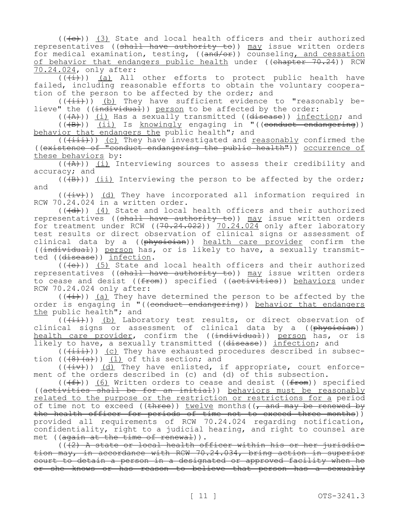$((+e))$  (3) State and local health officers and their authorized representatives ((shall have authority to)) may issue written orders for medical examination, testing,  $((\text{and}/\text{or}))$  counseling, and cessation of behavior that endangers public health under ((chapter 70.24)) RCW 70.24.024, only after:

 $((+\frac{1}{x}))$  (a) All other efforts to protect public health have failed, including reasonable efforts to obtain the voluntary cooperation of the person to be affected by the order; and

 $((+i+))$  (b) They have sufficient evidence to "reasonably believe" the ((individual)) person to be affected by the order:

 $((+A))$  (i) Has a sexually transmitted (( $\overline{d}$ isease)) infection; and (((B))) (ii) Is knowingly engaging in "((conduct endangering)) behavior that endangers the public health"; and

 $((+iii))$  (c) They have investigated and reasonably confirmed the ((existence of "conduct endangering the public health")) occurrence of these behaviors by:

 $((+A))$  (i) Interviewing sources to assess their credibility and accuracy; and

 $((+B))$  (ii) Interviewing the person to be affected by the order; and

 $((+iv))$  (d) They have incorporated all information required in RCW 70.24.024 in a written order.

 $((\overline{d}))$   $(4)$  State and local health officers and their authorized representatives ((shall have authority to)) may issue written orders for treatment under RCW ((70.24.022)) 70.24.024 only after laboratory test results or direct observation of clinical signs or assessment of clinical data by a ((physician)) health care provider confirm the ((individual)) person has, or is likely to have, a sexually transmitted ((disease)) infection.

 $((+e))$  (5) State and local health officers and their authorized representatives ((shall have authority to)) may issue written orders to cease and desist ((from)) specified ((activities)) behaviors under RCW 70.24.024 only after:

 $((+i))$  (a) They have determined the person to be affected by the order is engaging in "((conduct endangering)) behavior that endangers the public health"; and

 $((+i+))$  (b) Laboratory test results, or direct observation of clinical signs or assessment of clinical data by a ((<del>physician</del>)) health care provider, confirm the ((individual)) person has, or is likely to have, a sexually transmitted ((disease)) infection; and

 $((+iii))$  (c) They have exhausted procedures described in subsection  $((\{8\},\{a\}))$  (1) of this section; and

 $((+\pm v))$  (d) They have enlisted, if appropriate, court enforcement of the orders described in (c) and (d) of this subsection.

 $((+f))$  (6) Written orders to cease and desist ((from)) specified ((activities shall be for an initial)) behaviors must be reasonably related to the purpose or the restriction or restrictions for a period of time not to exceed ((three)) twelve months( $\frac{1}{1}$  and may be renewed by the health officer for periods of time not to exceed three months)) provided all requirements of RCW 70.24.024 regarding notification, confidentiality, right to a judicial hearing, and right to counsel are met ((again at the time of renewal)).

 $((42)$  A state or local health officer within his or her jurisdiction may, in accordance with RCW 70.24.034, bring action in superior court to detain a person in a designated or approved facility when he or she knows or has reason to believe that person has a sexually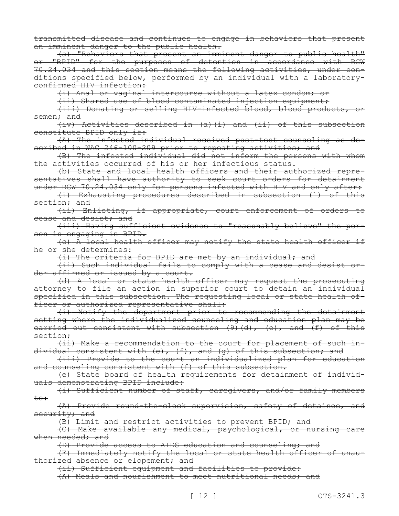transmitted disease and continues to engage in behaviors that present an imminent danger to the public health.

(a) "Behaviors that present an imminent danger to public health" "BPID" for the purposes of detention in accordance with RCW 70.24.034 and this section means the following activities, under conditions specified below, performed by an individual with a laboratoryconfirmed HIV infection:

(i) Anal or vaginal intercourse without a latex condom; or

(ii) Shared use of blood-contaminated injection equipment;

(iii) Donating or selling HIV-infected blood, blood products, or semen; and

(iv) Activities described in (a)(i) and (ii) of this subsection constitute BPID only if:

(A) The infected individual received post-test counseling as described in WAC 246-100-209 prior to repeating activities; and

(B) The infected individual did not inform the persons with whom the activities occurred of his or her infectious status.

(b) State and local health officers and their authorized representatives shall have authority to seek court orders for detainment under RCW 70.24.034 only for persons infected with HIV and only after:

(i) Exhausting procedures described in subsection (1) of this section; and

(ii) Enlisting, if appropriate, court enforcement of orders to cease and desist; and

(iii) Having sufficient evidence to "reasonably believe" the person is engaging in BPID.

(c) A local health officer may notify the state health officer if he or she determines:

(i) The criteria for BPID are met by an individual; and

(ii) Such individual fails to comply with a cease and desist order affirmed or issued by a court.

(d) A local or state health officer may request the prosecuting attorney to file an action in superior court to detain an individual specified in this subsection. The requesting local or state health officer or authorized representative shall:

(i) Notify the department prior to recommending the detainment setting where the individualized counseling and education plan may be carried out consistent with subsection  $(9)$  (d), (e), and (f) of this section;

(ii) Make a recommendation to the court for placement of such individual consistent with (e), (f), and (g) of this subsection; and

(iii) Provide to the court an individualized plan for education and counseling consistent with (f) of this subsection.

(e) State board of health requirements for detainment of individuals demonstrating BPID include:

(i) Sufficient number of staff, caregivers, and/or family members to:

(A) Provide round-the-clock supervision, safety of detainee, and security; and

(B) Limit and restrict activities to prevent BPID; and

(C) Make available any medical, psychological, or nursing care when needed; and

(D) Provide access to AIDS education and counseling; and

(E) Immediately notify the local or state health officer of unauthorized absence or elopement; and

(ii) Sufficient equipment and facilities to provide:

(A) Meals and nourishment to meet nutritional needs; and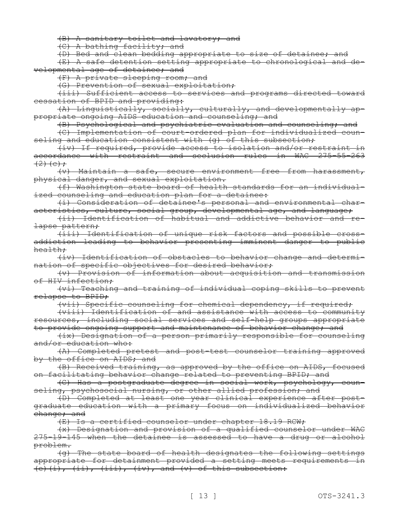(B) A sanitary toilet and lavatory; and

(C) A bathing facility; and

(D) Bed and clean bedding appropriate to size of detainee; and

(E) A safe detention setting appropriate to chronological and developmental age of detainee; and

(F) A private sleeping room; and

(G) Prevention of sexual exploitation;

(iii) Sufficient access to services and programs directed toward cessation of BPID and providing:

(A) Linguistically, socially, culturally, and developmentally appropriate ongoing AIDS education and counseling; and

(B) Psychological and psychiatric evaluation and counseling; and

(C) Implementation of court-ordered plan for individualized counseling and education consistent with (q) of this subsection;

(iv) If required, provide access to isolation and/or restraint in accordance with restraint and seclusion rules in WAC 275-55-263  $(2)$  (c);

(v) Maintain a safe, secure environment free from harassment, physical danger, and sexual exploitation.

(f) Washington state board of health standards for an individualized counseling and education plan for a detainee:

(i) Consideration of detainee's personal and environmental characteristics, culture, social group, developmental age, and language;

(ii) Identification of habitual and addictive behavior and relapse pattern;

(iii) Identification of unique risk factors and possible crossaddiction leading to behavior presenting imminent danger to public health;

(iv) Identification of obstacles to behavior change and determination of specific objectives for desired behavior;

(v) Provision of information about acquisition and transmission of HIV infection;

(vi) Teaching and training of individual coping skills to prevent relapse to BPID;

(vii) Specific counseling for chemical dependency, if required;

(viii) Identification of and assistance with access to community resources, including social services and self-help groups appropriate to provide ongoing support and maintenance of behavior change; and

(ix) Designation of a person primarily responsible for counseling and/or education who:

(A) Completed pretest and post-test counselor training approved by the office on AIDS; and

(B) Received training, as approved by the office on AIDS, focused on facilitating behavior change related to preventing BPID; and

(C) Has a postgraduate degree in social work, psychology, counseling, psychosocial nursing, or other allied profession; and

(D) Completed at least one year clinical experience after postgraduate education with a primary focus on individualized behavior change; and

(E) Is a certified counselor under chapter 18.19 RCW;

(x) Designation and provision of a qualified counselor under WAC 275-19-145 when the detainee is assessed to have a drug or alcohol problem.

(g) The state board of health designates the following settings appropriate for detainment provided a setting meets requirements in  $(e)$ (i), (ii), (iii), (iv), and (v) of this subsection: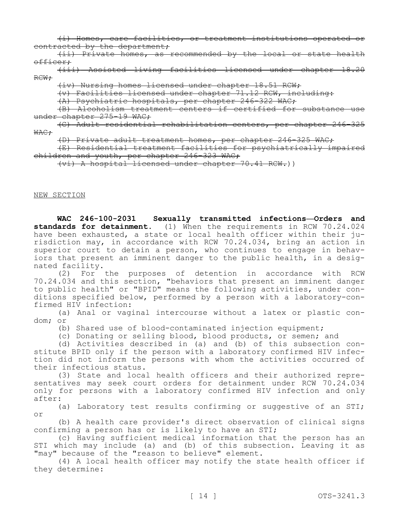(i) Homes, care facilities, or treatment institutions operated or contracted by the department;

(ii) Private homes, as recommended by the local or state health officer;

(iii) Assisted living facilities licensed under chapter 18.20 RCW;

(iv) Nursing homes licensed under chapter 18.51 RCW;

(v) Facilities licensed under chapter 71.12 RCW, including:

(A) Psychiatric hospitals, per chapter 246-322 WAC;

(B) Alcoholism treatment centers if certified for substance use under chapter 275-19 WAC;

(C) Adult residential rehabilitation centers, per chapter 246-325 WAC:

(D) Private adult treatment homes, per chapter 246-325 WAC;

(E) Residential treatment facilities for psychiatrically impaired children and youth, per chapter 246-323 WAC;

(vi) A hospital licensed under chapter 70.41 RCW.))

NEW SECTION

**WAC 246-100-2031 Sexually transmitted infections—Orders and**  standards for detainment. (1) When the requirements in RCW 70.24.024 have been exhausted, a state or local health officer within their jurisdiction may, in accordance with RCW 70.24.034, bring an action in superior court to detain a person, who continues to engage in behaviors that present an imminent danger to the public health, in a designated facility.

(2) For the purposes of detention in accordance with RCW 70.24.034 and this section, "behaviors that present an imminent danger to public health" or "BPID" means the following activities, under conditions specified below, performed by a person with a laboratory-confirmed HIV infection:

(a) Anal or vaginal intercourse without a latex or plastic condom; or

(b) Shared use of blood-contaminated injection equipment;

(c) Donating or selling blood, blood products, or semen; and

(d) Activities described in (a) and (b) of this subsection constitute BPID only if the person with a laboratory confirmed HIV infection did not inform the persons with whom the activities occurred of their infectious status.

(3) State and local health officers and their authorized representatives may seek court orders for detainment under RCW 70.24.034 only for persons with a laboratory confirmed HIV infection and only after:

(a) Laboratory test results confirming or suggestive of an STI; or

(b) A health care provider's direct observation of clinical signs confirming a person has or is likely to have an STI;

(c) Having sufficient medical information that the person has an STI which may include (a) and (b) of this subsection. Leaving it as "may" because of the "reason to believe" element.

(4) A local health officer may notify the state health officer if they determine: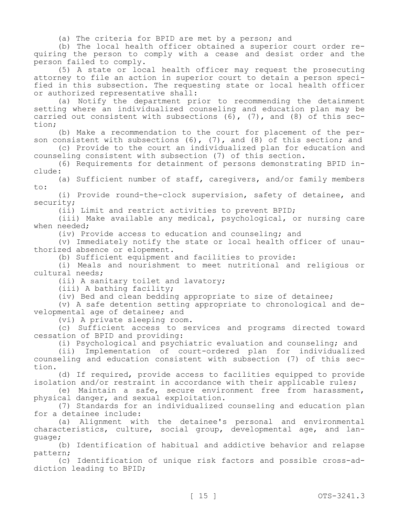(a) The criteria for BPID are met by a person; and

(b) The local health officer obtained a superior court order requiring the person to comply with a cease and desist order and the person failed to comply.

(5) A state or local health officer may request the prosecuting attorney to file an action in superior court to detain a person specified in this subsection. The requesting state or local health officer or authorized representative shall:

(a) Notify the department prior to recommending the detainment setting where an individualized counseling and education plan may be carried out consistent with subsections  $(6)$ ,  $(7)$ , and  $(8)$  of this section;

(b) Make a recommendation to the court for placement of the person consistent with subsections (6), (7), and (8) of this section; and

(c) Provide to the court an individualized plan for education and counseling consistent with subsection (7) of this section.

(6) Requirements for detainment of persons demonstrating BPID include:

(a) Sufficient number of staff, caregivers, and/or family members to:

(i) Provide round-the-clock supervision, safety of detainee, and security;

(ii) Limit and restrict activities to prevent BPID;

(iii) Make available any medical, psychological, or nursing care when needed;

(iv) Provide access to education and counseling; and

(v) Immediately notify the state or local health officer of unauthorized absence or elopement.

(b) Sufficient equipment and facilities to provide:

(i) Meals and nourishment to meet nutritional and religious or cultural needs;

(ii) A sanitary toilet and lavatory;

(iii) A bathing facility;

(iv) Bed and clean bedding appropriate to size of detainee;

(v) A safe detention setting appropriate to chronological and developmental age of detainee; and

(vi) A private sleeping room.

(c) Sufficient access to services and programs directed toward cessation of BPID and providing:

(i) Psychological and psychiatric evaluation and counseling; and

(ii) Implementation of court-ordered plan for individualized counseling and education consistent with subsection (7) of this section.

(d) If required, provide access to facilities equipped to provide isolation and/or restraint in accordance with their applicable rules;

(e) Maintain a safe, secure environment free from harassment, physical danger, and sexual exploitation.

(7) Standards for an individualized counseling and education plan for a detainee include:

(a) Alignment with the detainee's personal and environmental characteristics, culture, social group, developmental age, and language;

(b) Identification of habitual and addictive behavior and relapse pattern;

(c) Identification of unique risk factors and possible cross-addiction leading to BPID;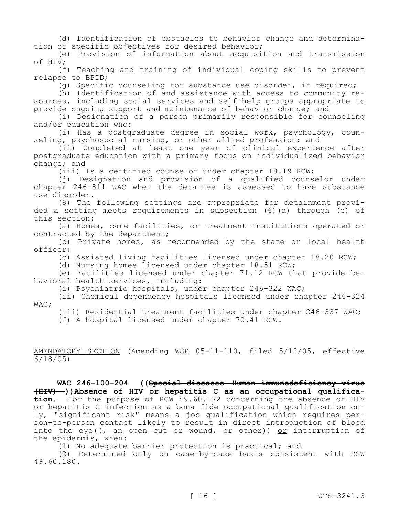(d) Identification of obstacles to behavior change and determination of specific objectives for desired behavior;

(e) Provision of information about acquisition and transmission of HIV;

(f) Teaching and training of individual coping skills to prevent relapse to BPID;

(g) Specific counseling for substance use disorder, if required;

(h) Identification of and assistance with access to community resources, including social services and self-help groups appropriate to provide ongoing support and maintenance of behavior change; and

(i) Designation of a person primarily responsible for counseling and/or education who:

(i) Has a postgraduate degree in social work, psychology, counseling, psychosocial nursing, or other allied profession; and

(ii) Completed at least one year of clinical experience after postgraduate education with a primary focus on individualized behavior change; and

(iii) Is a certified counselor under chapter 18.19 RCW;

(j) Designation and provision of a qualified counselor under chapter 246-811 WAC when the detainee is assessed to have substance use disorder.

(8) The following settings are appropriate for detainment provided a setting meets requirements in subsection (6)(a) through (e) of this section:

(a) Homes, care facilities, or treatment institutions operated or contracted by the department;

(b) Private homes, as recommended by the state or local health officer;

(c) Assisted living facilities licensed under chapter 18.20 RCW;

(d) Nursing homes licensed under chapter 18.51 RCW;

(e) Facilities licensed under chapter 71.12 RCW that provide behavioral health services, including:

(i) Psychiatric hospitals, under chapter 246-322 WAC;

(ii) Chemical dependency hospitals licensed under chapter 246-324 WAC;

(iii) Residential treatment facilities under chapter 246-337 WAC;

(f) A hospital licensed under chapter 70.41 RCW.

AMENDATORY SECTION (Amending WSR 05-11-110, filed 5/18/05, effective 6/18/05)

**WAC 246-100-204 ((Special diseases—Human immunodeficiency virus (HIV)—))Absence of HIV or hepatitis C as an occupational qualification.** For the purpose of RCW 49.60.172 concerning the absence of HIV or hepatitis C infection as a bona fide occupational qualification only, "significant risk" means a job qualification which requires person-to-person contact likely to result in direct introduction of blood into the eye( $\left(-\right)$  an open cut or wound, or other)) or interruption of the epidermis, when:

(1) No adequate barrier protection is practical; and

(2) Determined only on case-by-case basis consistent with RCW 49.60.180.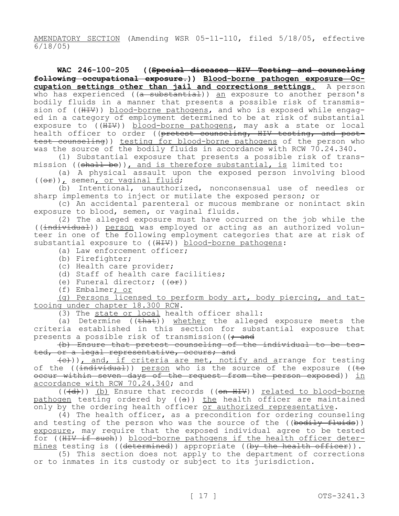AMENDATORY SECTION (Amending WSR 05-11-110, filed 5/18/05, effective 6/18/05)

**WAC 246-100-205 ((Special diseases—HIV—Testing and counseling following occupational exposure.)) Blood-borne pathogen exposure—Occupation settings other than jail and corrections settings.** A person who has experienced  $((a - substantial))$  an exposure to another person's bodily fluids in a manner that presents a possible risk of transmission of ((HIV)) blood-borne pathogens, and who is exposed while engaged in a category of employment determined to be at risk of substantial exposure to ((HIV)) blood-borne pathogens, may ask a state or local health officer to order ((pretest counseling, HIV testing, and posttest counseling)) testing for blood-borne pathogens of the person who was the source of the bodily fluids in accordance with RCW 70.24.340.

(1) Substantial exposure that presents a possible risk of transmission ((shall be)), and is therefore substantial, is limited to:

(a) A physical assault upon the exposed person involving blood  $((\theta \cdot \hat{r}))$ , semen, or vaginal fluid;

(b) Intentional, unauthorized, nonconsensual use of needles or sharp implements to inject or mutilate the exposed person; or

(c) An accidental parenteral or mucous membrane or nonintact skin exposure to blood, semen, or vaginal fluids.

(2) The alleged exposure must have occurred on the job while the ((individual)) person was employed or acting as an authorized volunteer in one of the following employment categories that are at risk of substantial exposure to ((HIV)) blood-borne pathogens:

- (a) Law enforcement officer;
- (b) Firefighter;
- (c) Health care provider;
- (d) Staff of health care facilities;
- (e) Funeral director;  $((\theta \hat{r}))$
- (f) Embalmer; or

(g) Persons licensed to perform body art, body piercing, and tattooing under chapter 18.300 RCW.

(3) The state or local health officer shall:

(a) Determine ((that)) whether the alleged exposure meets the criteria established in this section for substantial exposure that presents a possible risk of transmission ( $\rightarrow$  and

(b) Ensure that pretest counseling of the individual to be tested, or a legal representative, occurs; and

(e))), and, if criteria are met, notify and arrange for testing of the ((individual)) person who is the source of the exposure ((to occur within seven days of the request from the person exposed)) in accordance with RCW 70.24.340; and

(((d))) (b) Ensure that records ((on HIV)) related to blood-borne  $pathogen$  testing ordered by  $((a))$  the health officer are maintained only by the ordering health officer or authorized representative.

(4) The health officer, as a precondition for ordering counseling and testing of the person who was the source of the ((bodily fluids)) exposure, may require that the exposed individual agree to be tested for ((HIV if such)) blood-borne pathogens if the health officer determines testing is ((determined)) appropriate ((by the health officer)).

(5) This section does not apply to the department of corrections or to inmates in its custody or subject to its jurisdiction.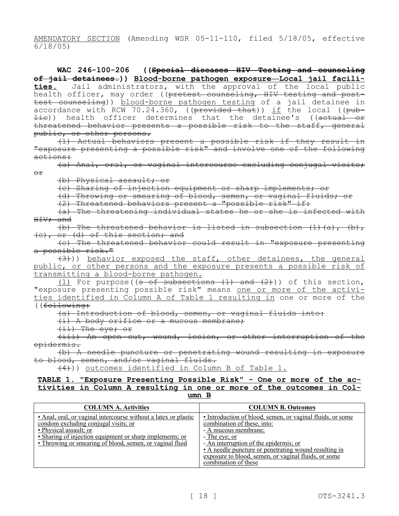AMENDATORY SECTION (Amending WSR 05-11-110, filed 5/18/05, effective 6/18/05)

**WAC 246-100-206 ((Special diseases—HIV—Testing and counseling of jail detainees.)) Blood-borne pathogen exposure—Local jail facilities.** Jail administrators, with the approval of the local public health officer, may order ((pretest counseling, HIV testing and posttest counseling)) blood-borne pathogen testing of a jail detainee in accordance with  $RCW$  70.24.360, ((provided that)) if the local ((pub- $\pm i$ )) health officer determines that the detainee's ((actual or threatened behavior presents a possible risk to the staff, general public, or other persons.

(1) Actual behaviors present a possible risk if they result in "exposure presenting a possible risk" and involve one of the following actions:

(a) Anal, oral, or vaginal intercourse excluding conjugal visits; or

(b) Physical assault; or

(c) Sharing of injection equipment or sharp implements; or

(d) Throwing or smearing of blood, semen, or vaginal fluids; or

(2) Threatened behaviors present a "possible risk" if:

(a) The threatening individual states he or she is infected with HIV; and

(b) The threatened behavior is listed in subsection  $(1)$   $(a)$ ,  $(b)$ , (c), or (d) of this section; and

(c) The threatened behavior could result in "exposure presenting a possible risk."

(3))) behavior exposed the staff, other detainees, the general public, or other persons and the exposure presents a possible risk of transmitting a blood-borne pathogen.

 $(1)$  For purpose((s of subsections  $(1)$  and  $(2)$ )) of this section, "exposure presenting possible risk" means one or more of the activities identified in Column A of Table 1 resulting in one or more of the ((following:

(a) Introduction of blood, semen, or vaginal fluids into:

(i) A body orifice or a mucous membrane;

(ii) The eye; or

(iii) An open cut, wound, lesion, or other interruption of the epidermis.

(b) A needle puncture or penetrating wound resulting in exposure to blood, semen, and/or vaginal fluids.

(4))) outcomes identified in Column B of Table 1.

## **TABLE 1. "Exposure Presenting Possible Risk" - One or more of the activities in Column A resulting in one or more of the outcomes in Column B**

| <b>COLUMN A. Activities</b>                                                                                                                                                                                                                               | <b>COLUMN B. Outcomes</b>                                                                                                                                                                                                                                                                                             |
|-----------------------------------------------------------------------------------------------------------------------------------------------------------------------------------------------------------------------------------------------------------|-----------------------------------------------------------------------------------------------------------------------------------------------------------------------------------------------------------------------------------------------------------------------------------------------------------------------|
| • Anal, oral, or vaginal intercourse without a latex or plastic<br>condom excluding conjugal visits; or<br>• Physical assault; or<br>• Sharing of injection equipment or sharp implements; or<br>• Throwing or smearing of blood, semen, or vaginal fluid | • Introduction of blood, semen, or vaginal fluids, or some<br>combination of these, into:<br>- A mucous membrane;<br>- The eye; or<br>- An interruption of the epidermis; or<br>• A needle puncture or penetrating wound resulting in<br>exposure to blood, semen, or vaginal fluids, or some<br>combination of these |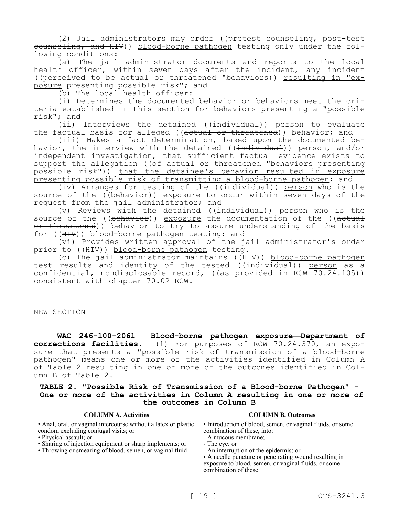(2) Jail administrators may order ((pretest counseling, post-test eounseling, and HIV)) blood-borne pathogen testing only under the following conditions:

(a) The jail administrator documents and reports to the local health officer, within seven days after the incident, any incident ((perceived to be actual or threatened "behaviors)) resulting in "exposure presenting possible risk"; and

(b) The local health officer:

(i) Determines the documented behavior or behaviors meet the criteria established in this section for behaviors presenting a "possible risk"; and

(ii) Interviews the detained ((individual)) person to evaluate the factual basis for alleged ((actual or threatened)) behavior; and

(iii) Makes a fact determination, based upon the documented behavior, the interview with the detained ((individual)) person, and/or independent investigation, that sufficient factual evidence exists to support the allegation ((of actual or threatened "behaviors presenting possible risk")) that the detainee's behavior resulted in exposure presenting possible risk of transmitting a blood-borne pathogen; and

(iv) Arranges for testing of the  $(\overline{(\text{individual})})$  person who is the source of the ((behavior)) exposure to occur within seven days of the request from the jail administrator; and

(v) Reviews with the detained ((individual)) person who is the source of the ((behavior)) exposure the documentation of the ((actual or threatened)) behavior to try to assure understanding of the basis for ((HIV)) blood-borne pathogen testing; and

(vi) Provides written approval of the jail administrator's order prior to ((HIV)) blood-borne pathogen testing.

(c) The jail administrator maintains ((HIV)) blood-borne pathogen test results and identity of the tested ((individual)) person as a confidential, nondisclosable record, ((as provided in RCW 70.24.105)) consistent with chapter 70.02 RCW.

NEW SECTION

**WAC 246-100-2061 Blood-borne pathogen exposure—Department of corrections facilities.** (1) For purposes of RCW 70.24.370, an exposure that presents a "possible risk of transmission of a blood-borne pathogen" means one or more of the activities identified in Column A of Table 2 resulting in one or more of the outcomes identified in Column B of Table 2.

**TABLE 2. "Possible Risk of Transmission of a Blood-borne Pathogen" - One or more of the activities in Column A resulting in one or more of the outcomes in Column B**

| <b>COLUMN A. Activities</b>                                                                                                                                                                                                                               | <b>COLUMN B. Outcomes</b>                                                                                                                                                                                                                                                                                             |
|-----------------------------------------------------------------------------------------------------------------------------------------------------------------------------------------------------------------------------------------------------------|-----------------------------------------------------------------------------------------------------------------------------------------------------------------------------------------------------------------------------------------------------------------------------------------------------------------------|
| • Anal, oral, or vaginal intercourse without a latex or plastic<br>condom excluding conjugal visits; or<br>• Physical assault; or<br>• Sharing of injection equipment or sharp implements; or<br>• Throwing or smearing of blood, semen, or vaginal fluid | • Introduction of blood, semen, or vaginal fluids, or some<br>combination of these, into:<br>- A mucous membrane;<br>- The eye; or<br>- An interruption of the epidermis; or<br>• A needle puncture or penetrating wound resulting in<br>exposure to blood, semen, or vaginal fluids, or some<br>combination of these |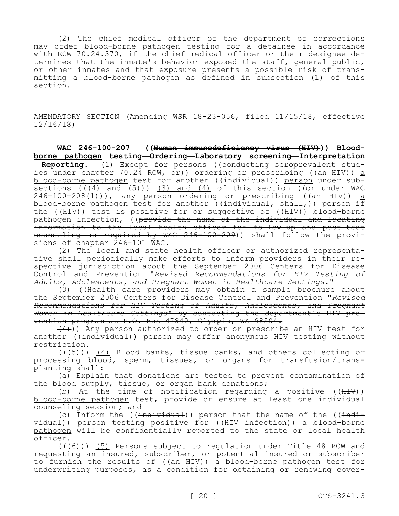(2) The chief medical officer of the department of corrections may order blood-borne pathogen testing for a detainee in accordance with RCW 70.24.370, if the chief medical officer or their designee determines that the inmate's behavior exposed the staff, general public, or other inmates and that exposure presents a possible risk of transmitting a blood-borne pathogen as defined in subsection (1) of this section.

AMENDATORY SECTION (Amending WSR 18-23-056, filed 11/15/18, effective 12/16/18)

**WAC 246-100-207 ((Human immunodeficiency virus (HIV))) Bloodborne pathogen testing—Ordering—Laboratory screening—Interpretation —Reporting.** (1) Except for persons ((conducting seroprevalent studies under chapter 70.24 RCW, or)) ordering or prescribing ((an HIV)) a blood-borne pathogen test for another ((individual)) person under subsections  $((4)$  and  $(5)$ ))  $(3)$  and  $(4)$  of this section ((or under WAC 246-100-208(1))), any person ordering or prescribing ((an HIV)) <u>a</u> blood-borne pathogen test for another ((individual, shall,)) person if the ((HIV)) test is positive for or suggestive of ((HIV)) blood-borne pathogen infection, ((provide the name of the individual and locating information to the local health officer for follow-up and post-test counseling as required by WAC 246-100-209)) shall follow the provisions of chapter 246-101 WAC.

(2) The local and state health officer or authorized representative shall periodically make efforts to inform providers in their respective jurisdiction about the September 2006 Centers for Disease Control and Prevention "*Revised Recommendations for HIV Testing of Adults, Adolescents, and Pregnant Women in Healthcare Settings*."

(3) ((Health care providers may obtain a sample brochure about the September 2006 Centers for Disease Control and Prevention "*Revised Recommendations for HIV Testing of Adults, Adolescents, and Pregnant Women in Healthcare Settings*" by contacting the department's HIV prevention program at P.O. Box 47840, Olympia, WA 98504.

 $(4)$ )) Any person authorized to order or prescribe an HIV test for another ((individual)) person may offer anonymous HIV testing without restriction.

 $((+5))$  (4) Blood banks, tissue banks, and others collecting or processing blood, sperm, tissues, or organs for transfusion/transplanting shall:

(a) Explain that donations are tested to prevent contamination of the blood supply, tissue, or organ bank donations;

(b) At the time of notification regarding a positive ((HIV)) blood-borne pathogen test, provide or ensure at least one individual counseling session; and

(c) Inform the ((individual)) person that the name of the ((individual)) person testing positive for ((HIV infection)) a blood-borne pathogen will be confidentially reported to the state or local health officer.

 $((+6))$  (5) Persons subject to regulation under Title 48 RCW and requesting an insured, subscriber, or potential insured or subscriber to furnish the results of ((an HIV)) a blood-borne pathogen test for underwriting purposes, as a condition for obtaining or renewing cover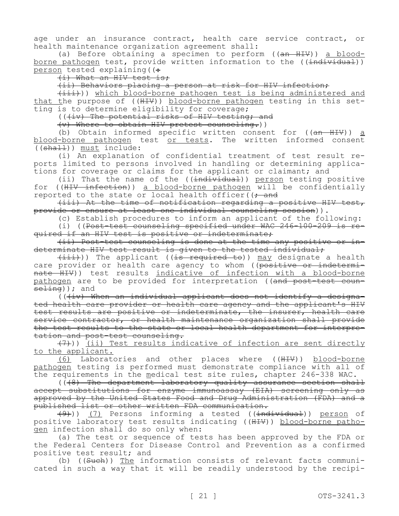age under an insurance contract, health care service contract, or health maintenance organization agreement shall:

(a) Before obtaining a specimen to perform  $((an H I V))$  a bloodborne pathogen test, provide written information to the ((individual)) person tested explaining  $($   $($   $\div$ 

(i) What an HIV test is;

(ii) Behaviors placing a person at risk for HIV infection;

(iii))) which blood-borne pathogen test is being administered and that the purpose of ((HIV)) blood-borne pathogen testing in this setting is to determine eligibility for coverage;

(((iv) The potential risks of HIV testing; and

(v) Where to obtain HIV pretest counseling.))

(b) Obtain informed specific written consent for ((an HIV)) a blood-borne pathogen test or tests. The written informed consent ((shall)) must include:

(i) An explanation of confidential treatment of test result reports limited to persons involved in handling or determining applications for coverage or claims for the applicant or claimant; and

(ii) That the name of the ((individual)) person testing positive for ((HIV infection)) a blood-borne pathogen will be confidentially reported to the state or local health officer( $($ ; and

(iii) At the time of notification regarding a positive HIV test, provide or ensure at least one individual counseling session)).

(c) Establish procedures to inform an applicant of the following:

(i) ((Post-test counseling specified under WAC 246-100-209 is required if an HIV test is positive or indeterminate;

(ii) Post-test counseling is done at the time any positive or indeterminate HIV test result is given to the tested individual;

(iii))) The applicant ((is required to)) may designate a health care provider or health care agency to whom ((positive or indeterminate HIV)) test results indicative of infection with a blood-borne pathogen are to be provided for interpretation ((and post-test coun $seting$ ) ; and

 $($  ( $\pm v$ ) When an individual applicant does not identify a designated health care provider or health care agency and the applicant's HIV test results are positive or indeterminate, the insurer, health care service contractor, or health maintenance organization shall provide the test results to the state or local health department for interpretation and post-test counseling.

 $(7)$ )) (ii) Test results indicative of infection are sent directly to the applicant.

(6) Laboratories and other places where ((HIV)) blood-borne pathogen testing is performed must demonstrate compliance with all of the requirements in the medical test site rules, chapter 246-338 WAC.

(((8) The department laboratory quality assurance section shall accept substitutions for enzyme immunoassay (EIA) screening only as approved by the United States Food and Drug Administration (FDA) and a published list or other written FDA communication.

 $(9)$ )) (7) Persons informing a tested ( $(individua)$ ) person of positive laboratory test results indicating ((HIV)) blood-borne pathogen infection shall do so only when:

(a) The test or sequence of tests has been approved by the FDA or the Federal Centers for Disease Control and Prevention as a confirmed positive test result; and

(b) ((Such)) The information consists of relevant facts communicated in such a way that it will be readily understood by the recipi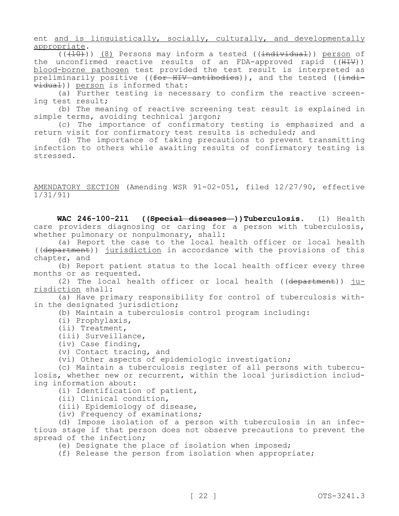ent and is linguistically, socially, culturally, and developmentally appropriate.

 $((+10))$   $(8)$  Persons may inform a tested ((individual)) person of the unconfirmed reactive results of an FDA-approved rapid ((HIV)) blood-borne pathogen test provided the test result is interpreted as preliminarily positive ((for HIV antibodies)), and the tested ((individual)) person is informed that:

(a) Further testing is necessary to confirm the reactive screening test result;

(b) The meaning of reactive screening test result is explained in simple terms, avoiding technical jargon;

(c) The importance of confirmatory testing is emphasized and a return visit for confirmatory test results is scheduled; and

(d) The importance of taking precautions to prevent transmitting infection to others while awaiting results of confirmatory testing is stressed.

AMENDATORY SECTION (Amending WSR 91-02-051, filed 12/27/90, effective 1/31/91)

**WAC 246-100-211 ((Special diseases—))Tuberculosis.** (1) Health care providers diagnosing or caring for a person with tuberculosis, whether pulmonary or nonpulmonary, shall:

(a) Report the case to the local health officer or local health ((department)) jurisdiction in accordance with the provisions of this chapter, and

(b) Report patient status to the local health officer every three months or as requested.

(2) The local health officer or local health (( $\frac{departner}{departner}$ ))  $\frac{ju-}{u}$ risdiction shall:

(a) Have primary responsibility for control of tuberculosis within the designated jurisdiction;

(b) Maintain a tuberculosis control program including:

(i) Prophylaxis,

(ii) Treatment,

(iii) Surveillance,

(iv) Case finding,

(v) Contact tracing, and

(vi) Other aspects of epidemiologic investigation;

(c) Maintain a tuberculosis register of all persons with tuberculosis, whether new or recurrent, within the local jurisdiction including information about:

(i) Identification of patient,

(ii) Clinical condition,

(iii) Epidemiology of disease,

(iv) Frequency of examinations;

(d) Impose isolation of a person with tuberculosis in an infectious stage if that person does not observe precautions to prevent the spread of the infection;

(e) Designate the place of isolation when imposed;

(f) Release the person from isolation when appropriate;